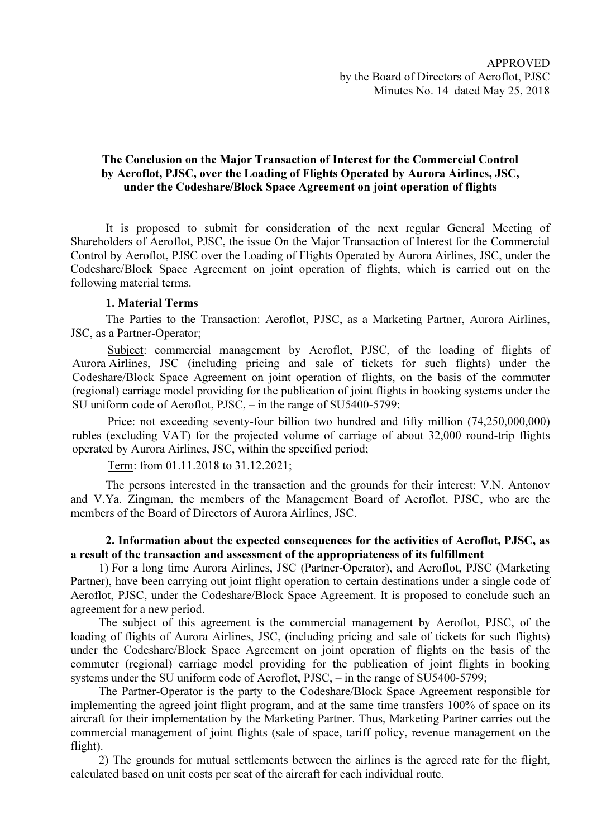## The Conclusion on the Major Transaction of Interest for the Commercial Control by Aeroflot, PJSC, over the Loading of Flights Operated by Aurora Airlines, JSC, under the Codeshare/Block Space Agreement on joint operation of flights

It is proposed to submit for consideration of the next regular General Meeting of Shareholders of Aeroflot, PJSC, the issue On the Major Transaction of Interest for the Commercial Control by Aeroflot, PJSC over the Loading of Flights Operated by Aurora Airlines, JSC, under the Codeshare/Block Space Agreement on joint operation of flights, which is carried out on the following material terms.

## 1. Material Terms

The Parties to the Transaction: Aeroflot, PJSC, as a Marketing Partner, Aurora Airlines, JSC, as a Partner-Operator;

Subject: commercial management by Aeroflot, PJSC, of the loading of flights of Aurora Airlines, JSC (including pricing and sale of tickets for such flights) under the Codeshare/Block Space Agreement on joint operation of flights, on the basis of the commuter (regional) carriage model providing for the publication of joint flights in booking systems under the SU uniform code of Aeroflot, PJSC, – in the range of SU5400-5799;

Price: not exceeding seventy-four billion two hundred and fifty million (74,250,000,000) rubles (excluding VAT) for the projected volume of carriage of about 32,000 round-trip flights operated by Aurora Airlines, JSC, within the specified period;

Term: from 01.11.2018 to 31.12.2021;

The persons interested in the transaction and the grounds for their interest: V.N. Antonov and V.Ya. Zingman, the members of the Management Board of Aeroflot, PJSC, who are the members of the Board of Directors of Aurora Airlines, JSC.

## 2. Information about the expected consequences for the activities of Aeroflot, PJSC, as a result of the transaction and assessment of the appropriateness of its fulfillment

1) For a long time Aurora Airlines, JSC (Partner-Operator), and Aeroflot, PJSC (Marketing Partner), have been carrying out joint flight operation to certain destinations under a single code of Aeroflot, PJSC, under the Codeshare/Block Space Agreement. It is proposed to conclude such an agreement for a new period.

The subject of this agreement is the commercial management by Aeroflot, PJSC, of the loading of flights of Aurora Airlines, JSC, (including pricing and sale of tickets for such flights) under the Codeshare/Block Space Agreement on joint operation of flights on the basis of the commuter (regional) carriage model providing for the publication of joint flights in booking systems under the SU uniform code of Aeroflot, PJSC, – in the range of SU5400-5799;

The Partner-Operator is the party to the Codeshare/Block Space Agreement responsible for implementing the agreed joint flight program, and at the same time transfers 100% of space on its aircraft for their implementation by the Marketing Partner. Thus, Marketing Partner carries out the commercial management of joint flights (sale of space, tariff policy, revenue management on the flight).

2) The grounds for mutual settlements between the airlines is the agreed rate for the flight, calculated based on unit costs per seat of the aircraft for each individual route.